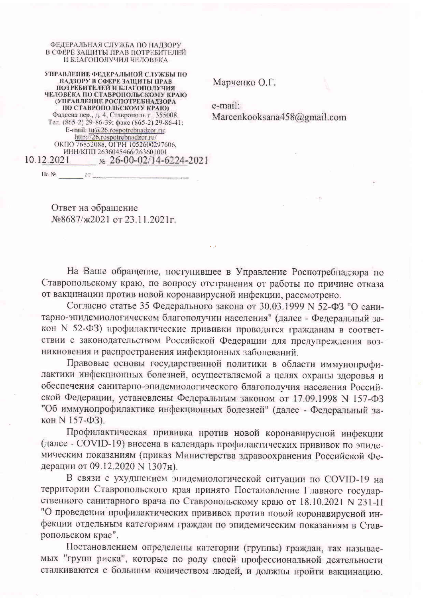ФЕДЕРАЛЬНАЯ СЛУЖБА ПО НАДЗОРУ В СФЕРЕ ЗАШИТЫ ПРАВ ПОТРЕБИТЕЛЕЙ И БЛАГОПОЛУЧИЯ ЧЕЛОВЕКА

УПРАВЛЕНИЕ ФЕДЕРАЛЬНОЙ СЛУЖБЫ ПО НАДЗОРУ В СФЕРЕ ЗАЩИТЫ ПРАВ ПОТРЕБИТЕЛЕЙ И БЛАГОПОЛУЧИЯ ЧЕЛОВЕКА ПО СТАВРОПОЛЬСКОМУ КРАЮ (УПРАВЛЕНИЕ РОСПОТРЕБНАДЗОРА ПО СТАВРОПОЛЬСКОМУ КРАЮ) Фадеева пер., д. 4, Ставрополь г., 355008.<br>Тел. (865-2) 29-86-39; факс (865-2) 29-86-41; E-mail: tu@26.rospotrebnadzor.ru;<br>http://26.rospotrebnadzor.ru/ ОКПО 76852088, ОГРН 1052600297606, ИНН/КПП 2636045466/263601001 10.12.2021  $\frac{1}{26}$  26-00-02/14-6224-2021

Марченко О.Г.

e-mail: Marcenkooksana458@gmail.com

Ответ на обращение №8687/ж2021 от 23.11.2021г.

Ha No contract of the Contract of the Contract of the Contract of the Contract of the Contract of the Contract of the Contract of the Contract of the Contract of the Contract of the Contract of the Contract of the Contract

На Ваше обращение, поступившее в Управление Роспотребнадзора по Ставропольскому краю, по вопросу отстранения от работы по причине отказа от вакцинации против новой коронавирусной инфекции, рассмотрено.

Согласно статье 35 Федерального закона от 30.03.1999 N 52-ФЗ "О санитарно-эпидемиологическом благополучии населения" (далее - Федеральный закон N 52-ФЗ) профилактические прививки проводятся гражданам в соответствии с законодательством Российской Федерации для предупреждения возникновения и распространения инфекционных заболеваний.

Правовые основы государственной политики в области иммунопрофилактики инфекционных болезней, осуществляемой в целях охраны здоровья и обеспечения санитарно-эпидемиологического благополучия населения Российской Федерации, установлены Федеральным законом от 17.09.1998 N 157-ФЗ "Об иммунопрофилактике инфекционных болезней" (далее - Федеральный закон N 157-ФЗ).

Профилактическая прививка против новой коронавирусной инфекции (далее - COVID-19) внесена в календарь профилактических прививок по эпидемическим показаниям (приказ Министерства здравоохранения Российской Федерации от 09.12.2020 N 1307н).

В связи с ухудшением эпидемиологической ситуации по COVID-19 на территории Ставропольского края принято Постановление Главного государственного санитарного врача по Ставропольскому краю от 18.10.2021 N 231-П "О проведении профилактических прививок против новой коронавирусной инфекции отдельным категориям граждан по эпидемическим показаниям в Ставропольском крае".

Постановлением определены категории (группы) граждан, так называемых "групп риска", которые по роду своей профессиональной деятельности сталкиваются с большим количеством людей, и должны пройти вакцинацию.